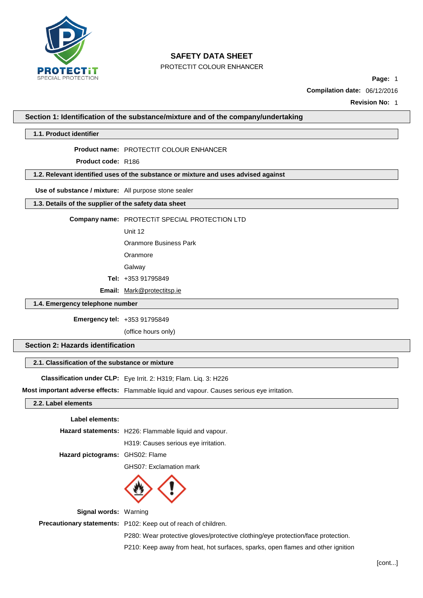

PROTECTIT COLOUR ENHANCER

**Page:** 1

**Compilation date:** 06/12/2016

**Revision No:** 1

**Section 1: Identification of the substance/mixture and of the company/undertaking**

**1.1. Product identifier**

**Product name:** PROTECTIT COLOUR ENHANCER

**Product code:** R186

**1.2. Relevant identified uses of the substance or mixture and uses advised against**

**Use of substance / mixture:** All purpose stone sealer

**1.3. Details of the supplier of the safety data sheet**

**Company name:** PROTECTiT SPECIAL PROTECTION LTD

Unit 12

Oranmore Business Park

Oranmore

Galway

**Tel:** +353 91795849

**Email:** [Mark@protectitsp.ie](mailto:Mark@protectitsp.ie)

**1.4. Emergency telephone number**

**Emergency tel:** +353 91795849

(office hours only)

**Section 2: Hazards identification**

## **2.1. Classification of the substance or mixture**

**Classification under CLP:** Eye Irrit. 2: H319; Flam. Liq. 3: H226

**Most important adverse effects:** Flammable liquid and vapour. Causes serious eye irritation.

#### **2.2. Label elements**

#### **Label elements:**

|                                 | <b>Hazard statements:</b> H226: Flammable liquid and vapour. |
|---------------------------------|--------------------------------------------------------------|
|                                 | H319: Causes serious eye irritation.                         |
| Hazard pictograms: GHS02: Flame |                                                              |

GHS07: Exclamation mark



**Signal words:** Warning

**Precautionary statements:** P102: Keep out of reach of children.

P280: Wear protective gloves/protective clothing/eye protection/face protection.

P210: Keep away from heat, hot surfaces, sparks, open flames and other ignition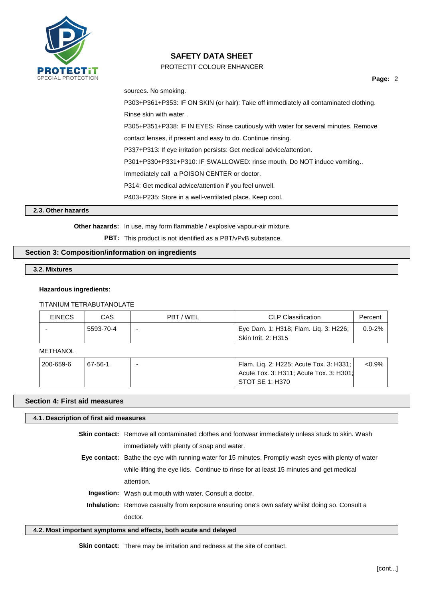

## PROTECTIT COLOUR ENHANCER

sources. No smoking. P303+P361+P353: IF ON SKIN (or hair): Take off immediately all contaminated clothing. Rinse skin with water . P305+P351+P338: IF IN EYES: Rinse cautiously with water for several minutes. Remove contact lenses, if present and easy to do. Continue rinsing. P337+P313: If eye irritation persists: Get medical advice/attention. P301+P330+P331+P310: IF SWALLOWED: rinse mouth. Do NOT induce vomiting.. Immediately call a POISON CENTER or doctor. P314: Get medical advice/attention if you feel unwell. P403+P235: Store in a well-ventilated place. Keep cool.

**2.3. Other hazards**

**Other hazards:** In use, may form flammable / explosive vapour-air mixture.

**PBT:** This product is not identified as a PBT/vPvB substance.

## **Section 3: Composition/information on ingredients**

**3.2. Mixtures**

### **Hazardous ingredients:**

#### TITANIUM TETRABUTANOLATE

| <b>EINECS</b> | CAS       | PBT/WEL                  | <b>CLP Classification</b>                                    | Percent     |
|---------------|-----------|--------------------------|--------------------------------------------------------------|-------------|
|               | 5593-70-4 | $\overline{\phantom{0}}$ | Eye Dam. 1: H318; Flam. Lig. 3: H226;<br>Skin Irrit. 2: H315 | $0.9 - 2\%$ |

#### **METHANOL**

| 200-659-6 | 67-56-1 | Flam. Lig. 2: H225; Acute Tox. 3: H331; | $< 0.9\%$ |
|-----------|---------|-----------------------------------------|-----------|
|           |         | Acute Tox. 3: H311; Acute Tox. 3: H301; |           |
|           |         | ' STOT SE 1: H370                       |           |

## **Section 4: First aid measures**

#### **4.1. Description of first aid measures**

**Skin contact:** Remove all contaminated clothes and footwear immediately unless stuck to skin. Wash immediately with plenty of soap and water.

- **Eye contact:** Bathe the eye with running water for 15 minutes. Promptly wash eyes with plenty of water while lifting the eye lids. Continue to rinse for at least 15 minutes and get medical attention.
	- **Ingestion:** Wash out mouth with water. Consult a doctor.
	- **Inhalation:** Remove casualty from exposure ensuring one's own safety whilst doing so. Consult a doctor.

#### **4.2. Most important symptoms and effects, both acute and delayed**

**Skin contact:** There may be irritation and redness at the site of contact.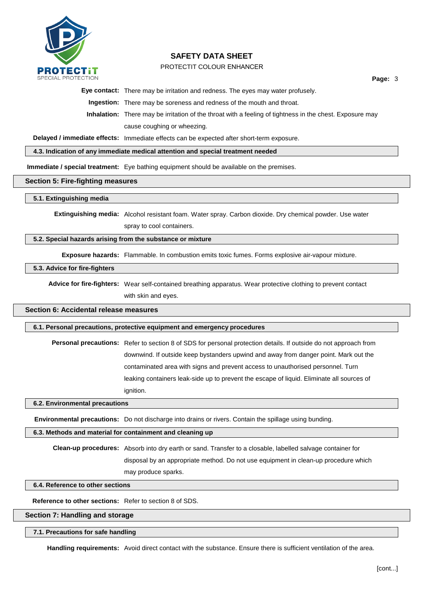

## PROTECTIT COLOUR ENHANCER

**Page:** 3

**Eye contact:** There may be irritation and redness. The eyes may water profusely.

**Ingestion:** There may be soreness and redness of the mouth and throat.

**Inhalation:** There may be irritation of the throat with a feeling of tightness in the chest. Exposure may cause coughing or wheezing.

**Delayed / immediate effects:** Immediate effects can be expected after short-term exposure.

**4.3. Indication of any immediate medical attention and special treatment needed**

**Immediate / special treatment:** Eye bathing equipment should be available on the premises.

### **Section 5: Fire-fighting measures**

#### **5.1. Extinguishing media**

**Extinguishing media:** Alcohol resistant foam. Water spray. Carbon dioxide. Dry chemical powder. Use water spray to cool containers.

### **5.2. Special hazards arising from the substance or mixture**

**Exposure hazards:** Flammable. In combustion emits toxic fumes. Forms explosive air-vapour mixture.

#### **5.3. Advice for fire-fighters**

**Advice for fire-fighters:** Wear self-contained breathing apparatus. Wear protective clothing to prevent contact with skin and eyes.

### **Section 6: Accidental release measures**

#### **6.1. Personal precautions, protective equipment and emergency procedures**

**Personal precautions:** Refer to section 8 of SDS for personal protection details. If outside do not approach from downwind. If outside keep bystanders upwind and away from danger point. Mark out the contaminated area with signs and prevent access to unauthorised personnel. Turn leaking containers leak-side up to prevent the escape of liquid. Eliminate all sources of ignition.

#### **6.2. Environmental precautions**

**Environmental precautions:** Do not discharge into drains or rivers. Contain the spillage using bunding.

## **6.3. Methods and material for containment and cleaning up**

**Clean-up procedures:** Absorb into dry earth or sand. Transfer to a closable, labelled salvage container for disposal by an appropriate method. Do not use equipment in clean-up procedure which may produce sparks.

## **6.4. Reference to other sections**

**Reference to other sections:** Refer to section 8 of SDS.

## **Section 7: Handling and storage**

## **7.1. Precautions for safe handling**

**Handling requirements:** Avoid direct contact with the substance. Ensure there is sufficient ventilation of the area.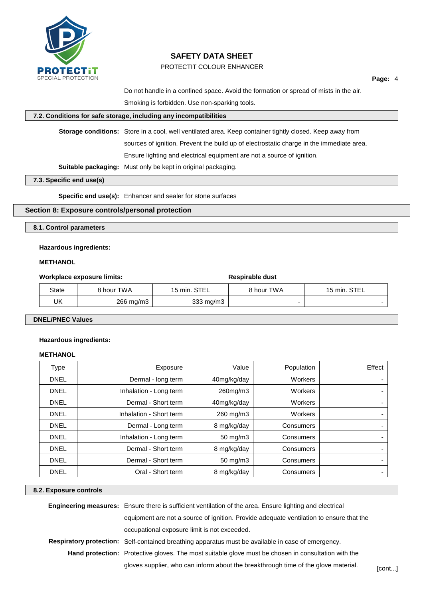

## PROTECTIT COLOUR ENHANCER

**Page:** 4

Do not handle in a confined space. Avoid the formation or spread of mists in the air. Smoking is forbidden. Use non-sparking tools.

### **7.2. Conditions for safe storage, including any incompatibilities**

**Storage conditions:** Store in a cool, well ventilated area. Keep container tightly closed. Keep away from

sources of ignition. Prevent the build up of electrostatic charge in the immediate area.

Ensure lighting and electrical equipment are not a source of ignition.

**Suitable packaging:** Must only be kept in original packaging.

### **7.3. Specific end use(s)**

**Specific end use(s):** Enhancer and sealer for stone surfaces

### **Section 8: Exposure controls/personal protection**

**8.1. Control parameters**

### **Hazardous ingredients:**

### **METHANOL**

### **Workplace exposure limits:**  $\bullet$  **Respirable** dust

|       |            |              | .          |              |
|-------|------------|--------------|------------|--------------|
| State | 3 hour TWA | 15 min. STEL | 8 hour TWA | 15 min. STEL |
| UK    | 266 mg/m3  | 333 mg/m3    |            |              |

### **DNEL/PNEC Values**

#### **Hazardous ingredients:**

### **METHANOL**

| Type        | Exposure                | Value               | Population | Effect |
|-------------|-------------------------|---------------------|------------|--------|
| <b>DNEL</b> | Dermal - long term      | 40mg/kg/day         | Workers    |        |
| <b>DNEL</b> | Inhalation - Long term  | 260mg/m3            | Workers    |        |
| <b>DNEL</b> | Dermal - Short term     | 40mg/kg/day         | Workers    |        |
| <b>DNEL</b> | Inhalation - Short term | 260 mg/m3           | Workers    |        |
| <b>DNEL</b> | Dermal - Long term      | 8 mg/kg/day         | Consumers  |        |
| <b>DNEL</b> | Inhalation - Long term  | 50 mg/m3            | Consumers  |        |
| <b>DNEL</b> | Dermal - Short term     | 8 mg/kg/day         | Consumers  |        |
| <b>DNEL</b> | Dermal - Short term     | $50 \text{ mg/m}$ 3 | Consumers  |        |
| <b>DNEL</b> | Oral - Short term       | 8 mg/kg/day         | Consumers  |        |

#### **8.2. Exposure controls**

| <b>Engineering measures:</b> Ensure there is sufficient ventilation of the area. Ensure lighting and electrical |        |
|-----------------------------------------------------------------------------------------------------------------|--------|
| equipment are not a source of ignition. Provide adequate ventilation to ensure that the                         |        |
| occupational exposure limit is not exceeded.                                                                    |        |
| <b>Respiratory protection:</b> Self-contained breathing apparatus must be available in case of emergency.       |        |
| <b>Hand protection:</b> Protective gloves. The most suitable glove must be chosen in consultation with the      |        |
| gloves supplier, who can inform about the breakthrough time of the glove material.                              | [cont] |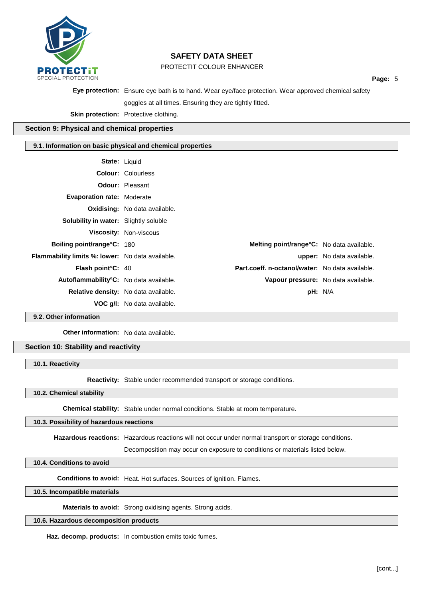

PROTECTIT COLOUR ENHANCER

**Page:** 5

**Eye protection:** Ensure eye bath is to hand. Wear eye/face protection. Wear approved chemical safety

goggles at all times. Ensuring they are tightly fitted.

**Skin protection:** Protective clothing.

### **Section 9: Physical and chemical properties**

### **9.1. Information on basic physical and chemical properties**

| <b>State: Liquid</b>                                    |                                      |                                                 |                                  |
|---------------------------------------------------------|--------------------------------------|-------------------------------------------------|----------------------------------|
|                                                         | <b>Colour: Colourless</b>            |                                                 |                                  |
|                                                         | <b>Odour: Pleasant</b>               |                                                 |                                  |
| <b>Evaporation rate: Moderate</b>                       |                                      |                                                 |                                  |
|                                                         | <b>Oxidising:</b> No data available. |                                                 |                                  |
| <b>Solubility in water:</b> Slightly soluble            |                                      |                                                 |                                  |
|                                                         | Viscosity: Non-viscous               |                                                 |                                  |
| Boiling point/range°C: 180                              |                                      | Melting point/range°C: No data available.       |                                  |
| <b>Flammability limits %: lower:</b> No data available. |                                      |                                                 | <b>upper:</b> No data available. |
| <b>Flash point <math>C: 40</math></b>                   |                                      | Part.coeff. n-octanol/water: No data available. |                                  |
| Autoflammability°C: No data available.                  |                                      | Vapour pressure: No data available.             |                                  |
| Relative density: No data available.                    |                                      | pH: N/A                                         |                                  |
|                                                         | <b>VOC g/l:</b> No data available.   |                                                 |                                  |

**9.2. Other information**

**Other information:** No data available.

**Section 10: Stability and reactivity**

**10.1. Reactivity**

**Reactivity:** Stable under recommended transport or storage conditions.

**10.2. Chemical stability**

**Chemical stability:** Stable under normal conditions. Stable at room temperature.

#### **10.3. Possibility of hazardous reactions**

**Hazardous reactions:** Hazardous reactions will not occur under normal transport or storage conditions.

Decomposition may occur on exposure to conditions or materials listed below.

**10.4. Conditions to avoid**

**Conditions to avoid:** Heat. Hot surfaces. Sources of ignition. Flames.

**10.5. Incompatible materials**

**Materials to avoid:** Strong oxidising agents. Strong acids.

## **10.6. Hazardous decomposition products**

**Haz. decomp. products:** In combustion emits toxic fumes.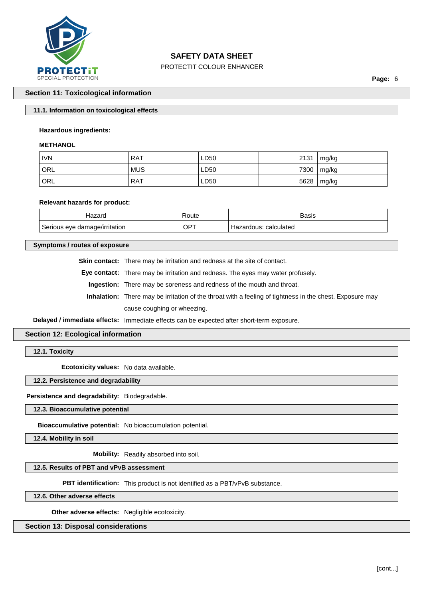

## PROTECTIT COLOUR ENHANCER

**Page:** 6

### **Section 11: Toxicological information**

### **11.1. Information on toxicological effects**

### **Hazardous ingredients:**

#### **METHANOL**

| <b>IVN</b> | <b>RAT</b> | LD50 | 2131 | mg/kg |
|------------|------------|------|------|-------|
| ORL        | <b>MUS</b> | LD50 | 7300 | mg/kg |
| ORL        | <b>RAT</b> | LD50 | 5628 | mg/kg |

#### **Relevant hazards for product:**

| Hazaro                        | Route           | Basis                    |
|-------------------------------|-----------------|--------------------------|
| Serious eye damage/irritation | OP <sup>7</sup> | calculated<br>Hazardous: |

### **Symptoms / routes of exposure**

**Skin contact:** There may be irritation and redness at the site of contact.

**Eye contact:** There may be irritation and redness. The eyes may water profusely.

**Ingestion:** There may be soreness and redness of the mouth and throat.

**Inhalation:** There may be irritation of the throat with a feeling of tightness in the chest. Exposure may cause coughing or wheezing.

**Delayed / immediate effects:** Immediate effects can be expected after short-term exposure.

### **Section 12: Ecological information**

**12.1. Toxicity**

**Ecotoxicity values:** No data available.

### **12.2. Persistence and degradability**

#### **Persistence and degradability:** Biodegradable.

**12.3. Bioaccumulative potential**

**Bioaccumulative potential:** No bioaccumulation potential.

**12.4. Mobility in soil**

**Mobility:** Readily absorbed into soil.

## **12.5. Results of PBT and vPvB assessment**

**PBT identification:** This product is not identified as a PBT/vPvB substance.

**12.6. Other adverse effects**

**Other adverse effects:** Negligible ecotoxicity.

**Section 13: Disposal considerations**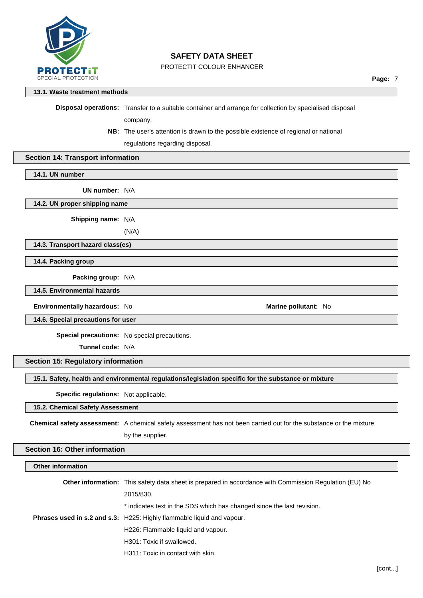

## PROTECTIT COLOUR ENHANCER

### **13.1. Waste treatment methods**

**Disposal operations:** Transfer to a suitable container and arrange for collection by specialised disposal

company.

**NB:** The user's attention is drawn to the possible existence of regional or national

regulations regarding disposal.

### **Section 14: Transport information**

**14.1. UN number**

**UN number:** N/A

**14.2. UN proper shipping name**

**Shipping name:** N/A

(N/A)

**14.3. Transport hazard class(es)**

**14.4. Packing group**

**Packing group:** N/A

**14.5. Environmental hazards**

**Environmentally hazardous:** No **Marine Marine Marine Marine Marine Marine Marine Marine Marine Marine Marine Marine Marine Marine Marine Marine Marine Marine Marine Marine Marine**

**14.6. Special precautions for user**

**Special precautions:** No special precautions.

**Tunnel code:** N/A

## **Section 15: Regulatory information**

**15.1. Safety, health and environmental regulations/legislation specific for the substance or mixture**

**Specific regulations:** Not applicable.

### **15.2. Chemical Safety Assessment**

**Chemical safety assessment:** A chemical safety assessment has not been carried out for the substance or the mixture by the supplier.

## **Section 16: Other information**

| <b>Other information</b> |                                                                                                               |
|--------------------------|---------------------------------------------------------------------------------------------------------------|
|                          | <b>Other information:</b> This safety data sheet is prepared in accordance with Commission Regulation (EU) No |
|                          | 2015/830.                                                                                                     |
|                          | * indicates text in the SDS which has changed since the last revision.                                        |
|                          | <b>Phrases used in s.2 and s.3:</b> H225: Highly flammable liquid and vapour.                                 |
|                          | H226: Flammable liquid and vapour.                                                                            |
|                          | H <sub>301</sub> : Toxic if swallowed.                                                                        |
|                          | H311: Toxic in contact with skin.                                                                             |